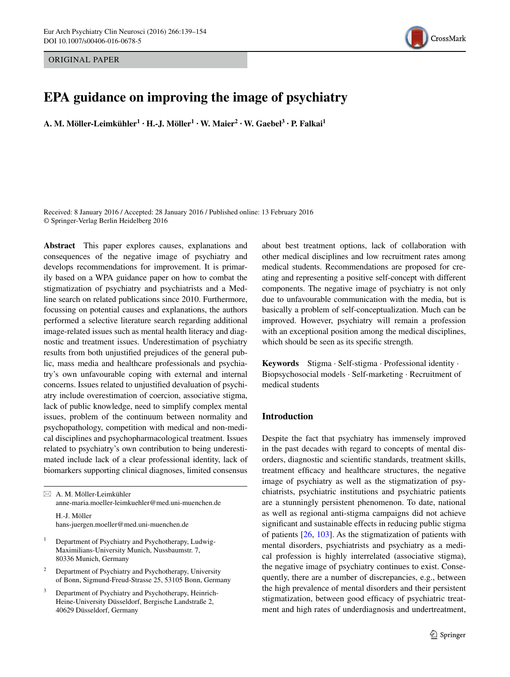ORIGINAL PAPER



# **EPA guidance on improving the image of psychiatry**

**A. M. Möller‑Leimkühler1 · H.‑J. Möller1 · W. Maier2 · W. Gaebel3 · P. Falkai<sup>1</sup>**

Received: 8 January 2016 / Accepted: 28 January 2016 / Published online: 13 February 2016 © Springer-Verlag Berlin Heidelberg 2016

**Abstract** This paper explores causes, explanations and consequences of the negative image of psychiatry and develops recommendations for improvement. It is primarily based on a WPA guidance paper on how to combat the stigmatization of psychiatry and psychiatrists and a Medline search on related publications since 2010. Furthermore, focussing on potential causes and explanations, the authors performed a selective literature search regarding additional image-related issues such as mental health literacy and diagnostic and treatment issues. Underestimation of psychiatry results from both unjustified prejudices of the general public, mass media and healthcare professionals and psychiatry's own unfavourable coping with external and internal concerns. Issues related to unjustified devaluation of psychiatry include overestimation of coercion, associative stigma, lack of public knowledge, need to simplify complex mental issues, problem of the continuum between normality and psychopathology, competition with medical and non-medical disciplines and psychopharmacological treatment. Issues related to psychiatry's own contribution to being underestimated include lack of a clear professional identity, lack of biomarkers supporting clinical diagnoses, limited consensus

 $\boxtimes$  A. M. Möller-Leimkühler anne-maria.moeller-leimkuehler@med.uni-muenchen.de H.-J. Möller hans-juergen.moeller@med.uni-muenchen.de

- Department of Psychiatry and Psychotherapy, Ludwig-Maximilians-University Munich, Nussbaumstr. 7, 80336 Munich, Germany
- <sup>2</sup> Department of Psychiatry and Psychotherapy, University of Bonn, Sigmund-Freud-Strasse 25, 53105 Bonn, Germany
- Department of Psychiatry and Psychotherapy, Heinrich-Heine-University Düsseldorf, Bergische Landstraße 2, 40629 Düsseldorf, Germany

about best treatment options, lack of collaboration with other medical disciplines and low recruitment rates among medical students. Recommendations are proposed for creating and representing a positive self-concept with different components. The negative image of psychiatry is not only due to unfavourable communication with the media, but is basically a problem of self-conceptualization. Much can be improved. However, psychiatry will remain a profession with an exceptional position among the medical disciplines, which should be seen as its specific strength.

**Keywords** Stigma · Self-stigma · Professional identity · Biopsychosocial models · Self-marketing · Recruitment of medical students

# **Introduction**

Despite the fact that psychiatry has immensely improved in the past decades with regard to concepts of mental disorders, diagnostic and scientific standards, treatment skills, treatment efficacy and healthcare structures, the negative image of psychiatry as well as the stigmatization of psychiatrists, psychiatric institutions and psychiatric patients are a stunningly persistent phenomenon. To date, national as well as regional anti-stigma campaigns did not achieve significant and sustainable effects in reducing public stigma of patients [[26,](#page-13-0) [103\]](#page-14-0). As the stigmatization of patients with mental disorders, psychiatrists and psychiatry as a medical profession is highly interrelated (associative stigma), the negative image of psychiatry continues to exist. Consequently, there are a number of discrepancies, e.g., between the high prevalence of mental disorders and their persistent stigmatization, between good efficacy of psychiatric treatment and high rates of underdiagnosis and undertreatment,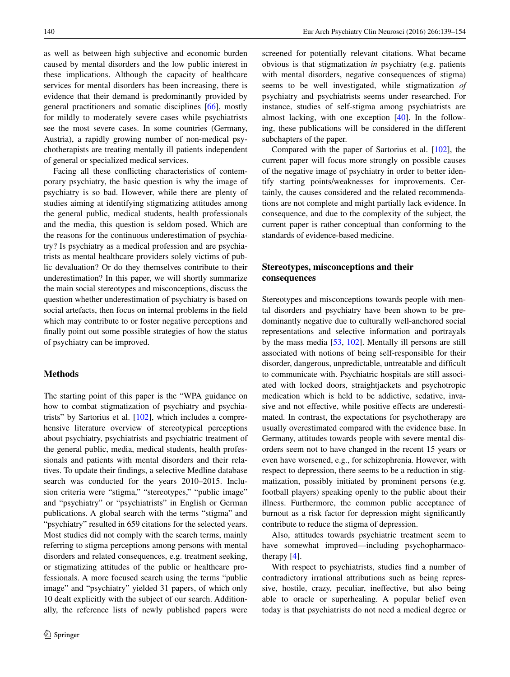as well as between high subjective and economic burden caused by mental disorders and the low public interest in these implications. Although the capacity of healthcare services for mental disorders has been increasing, there is evidence that their demand is predominantly provided by general practitioners and somatic disciplines [\[66](#page-13-1)], mostly for mildly to moderately severe cases while psychiatrists see the most severe cases. In some countries (Germany, Austria), a rapidly growing number of non-medical psychotherapists are treating mentally ill patients independent of general or specialized medical services.

Facing all these conflicting characteristics of contemporary psychiatry, the basic question is why the image of psychiatry is so bad. However, while there are plenty of studies aiming at identifying stigmatizing attitudes among the general public, medical students, health professionals and the media, this question is seldom posed. Which are the reasons for the continuous underestimation of psychiatry? Is psychiatry as a medical profession and are psychiatrists as mental healthcare providers solely victims of public devaluation? Or do they themselves contribute to their underestimation? In this paper, we will shortly summarize the main social stereotypes and misconceptions, discuss the question whether underestimation of psychiatry is based on social artefacts, then focus on internal problems in the field which may contribute to or foster negative perceptions and finally point out some possible strategies of how the status of psychiatry can be improved.

# **Methods**

The starting point of this paper is the "WPA guidance on how to combat stigmatization of psychiatry and psychiatrists" by Sartorius et al. [[102\]](#page-14-1), which includes a comprehensive literature overview of stereotypical perceptions about psychiatry, psychiatrists and psychiatric treatment of the general public, media, medical students, health professionals and patients with mental disorders and their relatives. To update their findings, a selective Medline database search was conducted for the years 2010–2015. Inclusion criteria were "stigma," "stereotypes," "public image" and "psychiatry" or "psychiatrists" in English or German publications. A global search with the terms "stigma" and "psychiatry" resulted in 659 citations for the selected years. Most studies did not comply with the search terms, mainly referring to stigma perceptions among persons with mental disorders and related consequences, e.g. treatment seeking, or stigmatizing attitudes of the public or healthcare professionals. A more focused search using the terms "public image" and "psychiatry" yielded 31 papers, of which only 10 dealt explicitly with the subject of our search. Additionally, the reference lists of newly published papers were

screened for potentially relevant citations. What became obvious is that stigmatization *in* psychiatry (e.g. patients with mental disorders, negative consequences of stigma) seems to be well investigated, while stigmatization *of* psychiatry and psychiatrists seems under researched. For instance, studies of self-stigma among psychiatrists are almost lacking, with one exception [[40\]](#page-13-2). In the following, these publications will be considered in the different subchapters of the paper.

Compared with the paper of Sartorius et al. [\[102](#page-14-1)], the current paper will focus more strongly on possible causes of the negative image of psychiatry in order to better identify starting points/weaknesses for improvements. Certainly, the causes considered and the related recommendations are not complete and might partially lack evidence. In consequence, and due to the complexity of the subject, the current paper is rather conceptual than conforming to the standards of evidence-based medicine.

# **Stereotypes, misconceptions and their consequences**

Stereotypes and misconceptions towards people with mental disorders and psychiatry have been shown to be predominantly negative due to culturally well-anchored social representations and selective information and portrayals by the mass media [\[53](#page-13-3), [102\]](#page-14-1). Mentally ill persons are still associated with notions of being self-responsible for their disorder, dangerous, unpredictable, untreatable and difficult to communicate with. Psychiatric hospitals are still associated with locked doors, straightjackets and psychotropic medication which is held to be addictive, sedative, invasive and not effective, while positive effects are underestimated. In contrast, the expectations for psychotherapy are usually overestimated compared with the evidence base. In Germany, attitudes towards people with severe mental disorders seem not to have changed in the recent 15 years or even have worsened, e.g., for schizophrenia. However, with respect to depression, there seems to be a reduction in stigmatization, possibly initiated by prominent persons (e.g. football players) speaking openly to the public about their illness. Furthermore, the common public acceptance of burnout as a risk factor for depression might significantly contribute to reduce the stigma of depression.

Also, attitudes towards psychiatric treatment seem to have somewhat improved—including psychopharmacotherapy [[4\]](#page-12-0).

With respect to psychiatrists, studies find a number of contradictory irrational attributions such as being repressive, hostile, crazy, peculiar, ineffective, but also being able to oracle or superhealing. A popular belief even today is that psychiatrists do not need a medical degree or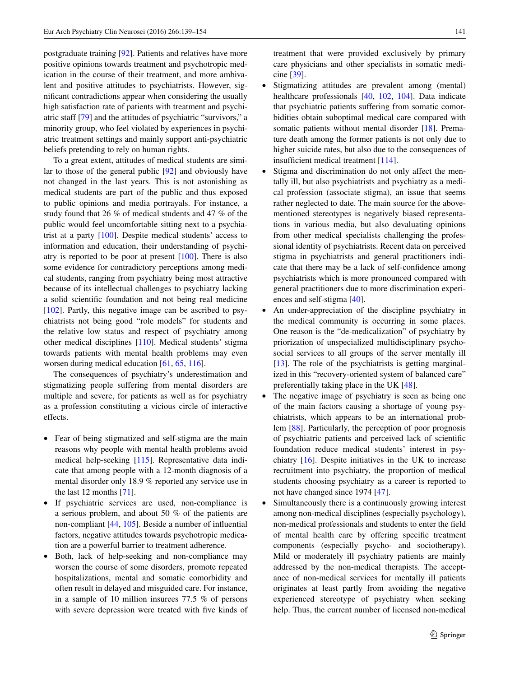postgraduate training [[92\]](#page-14-2). Patients and relatives have more positive opinions towards treatment and psychotropic medication in the course of their treatment, and more ambivalent and positive attitudes to psychiatrists. However, significant contradictions appear when considering the usually high satisfaction rate of patients with treatment and psychiatric staff [\[79](#page-14-3)] and the attitudes of psychiatric "survivors," a minority group, who feel violated by experiences in psychiatric treatment settings and mainly support anti-psychiatric beliefs pretending to rely on human rights.

To a great extent, attitudes of medical students are similar to those of the general public [\[92](#page-14-2)] and obviously have not changed in the last years. This is not astonishing as medical students are part of the public and thus exposed to public opinions and media portrayals. For instance, a study found that 26 % of medical students and 47 % of the public would feel uncomfortable sitting next to a psychiatrist at a party [[100\]](#page-14-4). Despite medical students' access to information and education, their understanding of psychiatry is reported to be poor at present [\[100](#page-14-4)]. There is also some evidence for contradictory perceptions among medical students, ranging from psychiatry being most attractive because of its intellectual challenges to psychiatry lacking a solid scientific foundation and not being real medicine [\[102](#page-14-1)]. Partly, this negative image can be ascribed to psychiatrists not being good "role models" for students and the relative low status and respect of psychiatry among other medical disciplines [\[110](#page-15-0)]. Medical students' stigma towards patients with mental health problems may even worsen during medical education [[61,](#page-13-4) [65,](#page-13-5) [116\]](#page-15-1).

The consequences of psychiatry's underestimation and stigmatizing people suffering from mental disorders are multiple and severe, for patients as well as for psychiatry as a profession constituting a vicious circle of interactive effects.

- Fear of being stigmatized and self-stigma are the main reasons why people with mental health problems avoid medical help-seeking [[115\]](#page-15-2). Representative data indicate that among people with a 12-month diagnosis of a mental disorder only 18.9 % reported any service use in the last 12 months [\[71](#page-14-5)].
- If psychiatric services are used, non-compliance is a serious problem, and about 50 % of the patients are non-compliant [[44,](#page-13-6) [105\]](#page-15-3). Beside a number of influential factors, negative attitudes towards psychotropic medication are a powerful barrier to treatment adherence.
- Both, lack of help-seeking and non-compliance may worsen the course of some disorders, promote repeated hospitalizations, mental and somatic comorbidity and often result in delayed and misguided care. For instance, in a sample of 10 million insurees 77.5 % of persons with severe depression were treated with five kinds of

treatment that were provided exclusively by primary care physicians and other specialists in somatic medicine [[39\]](#page-13-7).

- Stigmatizing attitudes are prevalent among (mental) healthcare professionals [\[40](#page-13-2), [102](#page-14-1), [104](#page-15-4)]. Data indicate that psychiatric patients suffering from somatic comorbidities obtain suboptimal medical care compared with somatic patients without mental disorder [[18\]](#page-12-1). Premature death among the former patients is not only due to higher suicide rates, but also due to the consequences of insufficient medical treatment [[114\]](#page-15-5).
- Stigma and discrimination do not only affect the mentally ill, but also psychiatrists and psychiatry as a medical profession (associate stigma), an issue that seems rather neglected to date. The main source for the abovementioned stereotypes is negatively biased representations in various media, but also devaluating opinions from other medical specialists challenging the professional identity of psychiatrists. Recent data on perceived stigma in psychiatrists and general practitioners indicate that there may be a lack of self-confidence among psychiatrists which is more pronounced compared with general practitioners due to more discrimination experiences and self-stigma [\[40](#page-13-2)].
- An under-appreciation of the discipline psychiatry in the medical community is occurring in some places. One reason is the "de-medicalization" of psychiatry by priorization of unspecialized multidisciplinary psychosocial services to all groups of the server mentally ill  $[13]$  $[13]$ . The role of the psychiatrists is getting marginalized in this "recovery-oriented system of balanced care" preferentially taking place in the UK [\[48](#page-13-8)].
- The negative image of psychiatry is seen as being one of the main factors causing a shortage of young psychiatrists, which appears to be an international problem [[88\]](#page-14-6). Particularly, the perception of poor prognosis of psychiatric patients and perceived lack of scientific foundation reduce medical students' interest in psychiatry [[16\]](#page-12-3). Despite initiatives in the UK to increase recruitment into psychiatry, the proportion of medical students choosing psychiatry as a career is reported to not have changed since 1974 [\[47](#page-13-9)].
- Simultaneously there is a continuously growing interest among non-medical disciplines (especially psychology), non-medical professionals and students to enter the field of mental health care by offering specific treatment components (especially psycho- and sociotherapy). Mild or moderately ill psychiatry patients are mainly addressed by the non-medical therapists. The acceptance of non-medical services for mentally ill patients originates at least partly from avoiding the negative experienced stereotype of psychiatry when seeking help. Thus, the current number of licensed non-medical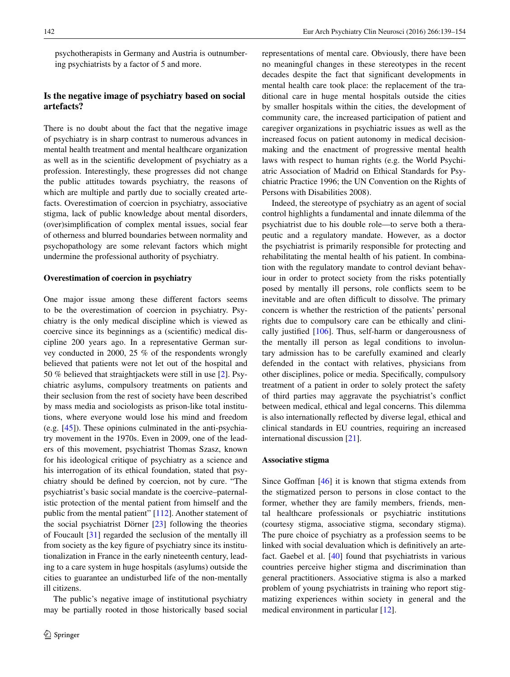psychotherapists in Germany and Austria is outnumbering psychiatrists by a factor of 5 and more.

# **Is the negative image of psychiatry based on social artefacts?**

There is no doubt about the fact that the negative image of psychiatry is in sharp contrast to numerous advances in mental health treatment and mental healthcare organization as well as in the scientific development of psychiatry as a profession. Interestingly, these progresses did not change the public attitudes towards psychiatry, the reasons of which are multiple and partly due to socially created artefacts. Overestimation of coercion in psychiatry, associative stigma, lack of public knowledge about mental disorders, (over)simplification of complex mental issues, social fear of otherness and blurred boundaries between normality and psychopathology are some relevant factors which might undermine the professional authority of psychiatry.

#### **Overestimation of coercion in psychiatry**

One major issue among these different factors seems to be the overestimation of coercion in psychiatry. Psychiatry is the only medical discipline which is viewed as coercive since its beginnings as a (scientific) medical discipline 200 years ago. In a representative German survey conducted in 2000, 25 % of the respondents wrongly believed that patients were not let out of the hospital and 50 % believed that straightjackets were still in use [[2\]](#page-12-4). Psychiatric asylums, compulsory treatments on patients and their seclusion from the rest of society have been described by mass media and sociologists as prison-like total institutions, where everyone would lose his mind and freedom (e.g. [\[45](#page-13-10)]). These opinions culminated in the anti-psychiatry movement in the 1970s. Even in 2009, one of the leaders of this movement, psychiatrist Thomas Szasz, known for his ideological critique of psychiatry as a science and his interrogation of its ethical foundation, stated that psychiatry should be defined by coercion, not by cure. "The psychiatrist's basic social mandate is the coercive–paternalistic protection of the mental patient from himself and the public from the mental patient" [\[112](#page-15-6)]. Another statement of the social psychiatrist Dörner [[23\]](#page-12-5) following the theories of Foucault [\[31](#page-13-11)] regarded the seclusion of the mentally ill from society as the key figure of psychiatry since its institutionalization in France in the early nineteenth century, leading to a care system in huge hospitals (asylums) outside the cities to guarantee an undisturbed life of the non-mentally ill citizens.

The public's negative image of institutional psychiatry may be partially rooted in those historically based social representations of mental care. Obviously, there have been no meaningful changes in these stereotypes in the recent decades despite the fact that significant developments in mental health care took place: the replacement of the traditional care in huge mental hospitals outside the cities by smaller hospitals within the cities, the development of community care, the increased participation of patient and caregiver organizations in psychiatric issues as well as the increased focus on patient autonomy in medical decisionmaking and the enactment of progressive mental health laws with respect to human rights (e.g. the World Psychiatric Association of Madrid on Ethical Standards for Psychiatric Practice 1996; the UN Convention on the Rights of Persons with Disabilities 2008).

Indeed, the stereotype of psychiatry as an agent of social control highlights a fundamental and innate dilemma of the psychiatrist due to his double role—to serve both a therapeutic and a regulatory mandate. However, as a doctor the psychiatrist is primarily responsible for protecting and rehabilitating the mental health of his patient. In combination with the regulatory mandate to control deviant behaviour in order to protect society from the risks potentially posed by mentally ill persons, role conflicts seem to be inevitable and are often difficult to dissolve. The primary concern is whether the restriction of the patients' personal rights due to compulsory care can be ethically and clinically justified [[106\]](#page-15-7). Thus, self-harm or dangerousness of the mentally ill person as legal conditions to involuntary admission has to be carefully examined and clearly defended in the contact with relatives, physicians from other disciplines, police or media. Specifically, compulsory treatment of a patient in order to solely protect the safety of third parties may aggravate the psychiatrist's conflict between medical, ethical and legal concerns. This dilemma is also internationally reflected by diverse legal, ethical and clinical standards in EU countries, requiring an increased international discussion [[21\]](#page-12-6).

#### **Associative stigma**

Since Goffman [[46\]](#page-13-12) it is known that stigma extends from the stigmatized person to persons in close contact to the former, whether they are family members, friends, mental healthcare professionals or psychiatric institutions (courtesy stigma, associative stigma, secondary stigma). The pure choice of psychiatry as a profession seems to be linked with social devaluation which is definitively an artefact. Gaebel et al. [\[40](#page-13-2)] found that psychiatrists in various countries perceive higher stigma and discrimination than general practitioners. Associative stigma is also a marked problem of young psychiatrists in training who report stigmatizing experiences within society in general and the medical environment in particular [\[12](#page-12-7)].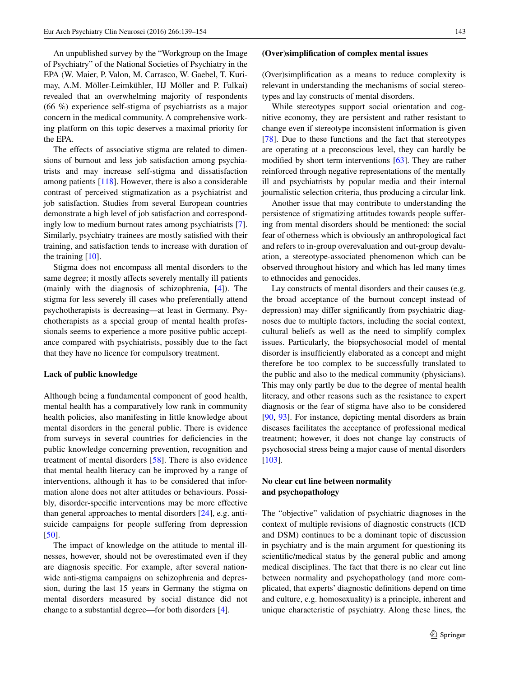An unpublished survey by the "Workgroup on the Image of Psychiatry" of the National Societies of Psychiatry in the EPA (W. Maier, P. Valon, M. Carrasco, W. Gaebel, T. Kurimay, A.M. Möller-Leimkühler, HJ Möller and P. Falkai) revealed that an overwhelming majority of respondents (66 %) experience self-stigma of psychiatrists as a major concern in the medical community. A comprehensive working platform on this topic deserves a maximal priority for the EPA.

The effects of associative stigma are related to dimensions of burnout and less job satisfaction among psychiatrists and may increase self-stigma and dissatisfaction among patients [[118\]](#page-15-8). However, there is also a considerable contrast of perceived stigmatization as a psychiatrist and job satisfaction. Studies from several European countries demonstrate a high level of job satisfaction and correspondingly low to medium burnout rates among psychiatrists [\[7](#page-12-8)]. Similarly, psychiatry trainees are mostly satisfied with their training, and satisfaction tends to increase with duration of the training [[10\]](#page-12-9).

Stigma does not encompass all mental disorders to the same degree; it mostly affects severely mentally ill patients (mainly with the diagnosis of schizophrenia, [[4\]](#page-12-0)). The stigma for less severely ill cases who preferentially attend psychotherapists is decreasing—at least in Germany. Psychotherapists as a special group of mental health professionals seems to experience a more positive public acceptance compared with psychiatrists, possibly due to the fact that they have no licence for compulsory treatment.

### **Lack of public knowledge**

Although being a fundamental component of good health, mental health has a comparatively low rank in community health policies, also manifesting in little knowledge about mental disorders in the general public. There is evidence from surveys in several countries for deficiencies in the public knowledge concerning prevention, recognition and treatment of mental disorders [\[58](#page-13-13)]. There is also evidence that mental health literacy can be improved by a range of interventions, although it has to be considered that information alone does not alter attitudes or behaviours. Possibly, disorder-specific interventions may be more effective than general approaches to mental disorders [[24\]](#page-12-10), e.g. antisuicide campaigns for people suffering from depression [\[50\]](#page-13-14).

The impact of knowledge on the attitude to mental illnesses, however, should not be overestimated even if they are diagnosis specific. For example, after several nationwide anti-stigma campaigns on schizophrenia and depression, during the last 15 years in Germany the stigma on mental disorders measured by social distance did not change to a substantial degree—for both disorders [[4\]](#page-12-0).

#### **(Over)simplification of complex mental issues**

(Over)simplification as a means to reduce complexity is relevant in understanding the mechanisms of social stereotypes and lay constructs of mental disorders.

While stereotypes support social orientation and cognitive economy, they are persistent and rather resistant to change even if stereotype inconsistent information is given [\[78](#page-14-7)]. Due to these functions and the fact that stereotypes are operating at a preconscious level, they can hardly be modified by short term interventions [\[63](#page-13-15)]. They are rather reinforced through negative representations of the mentally ill and psychiatrists by popular media and their internal journalistic selection criteria, thus producing a circular link.

Another issue that may contribute to understanding the persistence of stigmatizing attitudes towards people suffering from mental disorders should be mentioned: the social fear of otherness which is obviously an anthropological fact and refers to in-group overevaluation and out-group devaluation, a stereotype-associated phenomenon which can be observed throughout history and which has led many times to ethnocides and genocides.

Lay constructs of mental disorders and their causes (e.g. the broad acceptance of the burnout concept instead of depression) may differ significantly from psychiatric diagnoses due to multiple factors, including the social context, cultural beliefs as well as the need to simplify complex issues. Particularly, the biopsychosocial model of mental disorder is insufficiently elaborated as a concept and might therefore be too complex to be successfully translated to the public and also to the medical community (physicians). This may only partly be due to the degree of mental health literacy, and other reasons such as the resistance to expert diagnosis or the fear of stigma have also to be considered [\[90](#page-14-8), [93](#page-14-9)]. For instance, depicting mental disorders as brain diseases facilitates the acceptance of professional medical treatment; however, it does not change lay constructs of psychosocial stress being a major cause of mental disorders [\[103](#page-14-0)].

# **No clear cut line between normality and psychopathology**

The "objective" validation of psychiatric diagnoses in the context of multiple revisions of diagnostic constructs (ICD and DSM) continues to be a dominant topic of discussion in psychiatry and is the main argument for questioning its scientific/medical status by the general public and among medical disciplines. The fact that there is no clear cut line between normality and psychopathology (and more complicated, that experts' diagnostic definitions depend on time and culture, e.g. homosexuality) is a principle, inherent and unique characteristic of psychiatry. Along these lines, the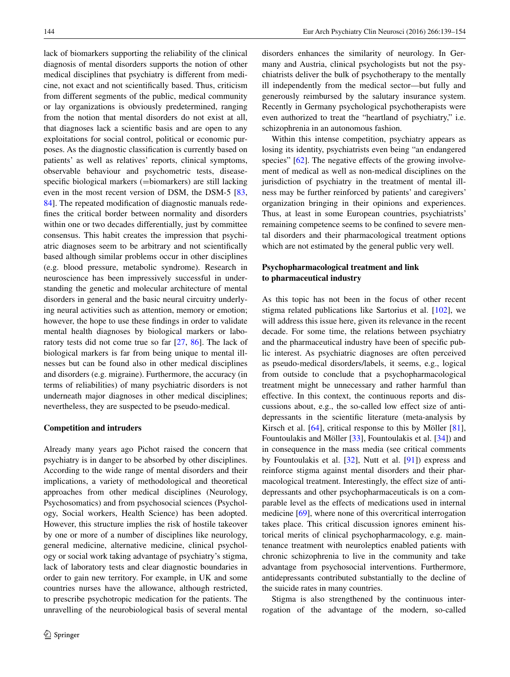lack of biomarkers supporting the reliability of the clinical diagnosis of mental disorders supports the notion of other medical disciplines that psychiatry is different from medicine, not exact and not scientifically based. Thus, criticism from different segments of the public, medical community or lay organizations is obviously predetermined, ranging from the notion that mental disorders do not exist at all, that diagnoses lack a scientific basis and are open to any exploitations for social control, political or economic purposes. As the diagnostic classification is currently based on patients' as well as relatives' reports, clinical symptoms, observable behaviour and psychometric tests, diseasespecific biological markers (=biomarkers) are still lacking even in the most recent version of DSM, the DSM-5 [[83,](#page-14-10) [84](#page-14-11)]. The repeated modification of diagnostic manuals redefines the critical border between normality and disorders within one or two decades differentially, just by committee consensus. This habit creates the impression that psychiatric diagnoses seem to be arbitrary and not scientifically based although similar problems occur in other disciplines (e.g. blood pressure, metabolic syndrome). Research in neuroscience has been impressively successful in understanding the genetic and molecular architecture of mental disorders in general and the basic neural circuitry underlying neural activities such as attention, memory or emotion; however, the hope to use these findings in order to validate mental health diagnoses by biological markers or laboratory tests did not come true so far [[27,](#page-13-16) [86\]](#page-14-12). The lack of biological markers is far from being unique to mental illnesses but can be found also in other medical disciplines and disorders (e.g. migraine). Furthermore, the accuracy (in terms of reliabilities) of many psychiatric disorders is not underneath major diagnoses in other medical disciplines; nevertheless, they are suspected to be pseudo-medical.

#### **Competition and intruders**

Already many years ago Pichot raised the concern that psychiatry is in danger to be absorbed by other disciplines. According to the wide range of mental disorders and their implications, a variety of methodological and theoretical approaches from other medical disciplines (Neurology, Psychosomatics) and from psychosocial sciences (Psychology, Social workers, Health Science) has been adopted. However, this structure implies the risk of hostile takeover by one or more of a number of disciplines like neurology, general medicine, alternative medicine, clinical psychology or social work taking advantage of psychiatry's stigma, lack of laboratory tests and clear diagnostic boundaries in order to gain new territory. For example, in UK and some countries nurses have the allowance, although restricted, to prescribe psychotropic medication for the patients. The unravelling of the neurobiological basis of several mental disorders enhances the similarity of neurology. In Germany and Austria, clinical psychologists but not the psychiatrists deliver the bulk of psychotherapy to the mentally ill independently from the medical sector—but fully and generously reimbursed by the salutary insurance system. Recently in Germany psychological psychotherapists were even authorized to treat the "heartland of psychiatry," i.e. schizophrenia in an autonomous fashion.

Within this intense competition, psychiatry appears as losing its identity, psychiatrists even being "an endangered species" [[62\]](#page-13-17). The negative effects of the growing involvement of medical as well as non-medical disciplines on the jurisdiction of psychiatry in the treatment of mental illness may be further reinforced by patients' and caregivers' organization bringing in their opinions and experiences. Thus, at least in some European countries, psychiatrists' remaining competence seems to be confined to severe mental disorders and their pharmacological treatment options which are not estimated by the general public very well.

# **Psychopharmacological treatment and link to pharmaceutical industry**

As this topic has not been in the focus of other recent stigma related publications like Sartorius et al. [[102\]](#page-14-1), we will address this issue here, given its relevance in the recent decade. For some time, the relations between psychiatry and the pharmaceutical industry have been of specific public interest. As psychiatric diagnoses are often perceived as pseudo-medical disorders/labels, it seems, e.g., logical from outside to conclude that a psychopharmacological treatment might be unnecessary and rather harmful than effective. In this context, the continuous reports and discussions about, e.g., the so-called low effect size of antidepressants in the scientific literature (meta-analysis by Kirsch et al. [\[64](#page-13-18)], critical response to this by Möller [\[81](#page-14-13)], Fountoulakis and Möller [\[33](#page-13-19)], Fountoulakis et al. [\[34](#page-13-20)]) and in consequence in the mass media (see critical comments by Fountoulakis et al. [[32\]](#page-13-21), Nutt et al. [\[91](#page-14-14)]) express and reinforce stigma against mental disorders and their pharmacological treatment. Interestingly, the effect size of antidepressants and other psychopharmaceuticals is on a comparable level as the effects of medications used in internal medicine [[69\]](#page-14-15), where none of this overcritical interrogation takes place. This critical discussion ignores eminent historical merits of clinical psychopharmacology, e.g. maintenance treatment with neuroleptics enabled patients with chronic schizophrenia to live in the community and take advantage from psychosocial interventions. Furthermore, antidepressants contributed substantially to the decline of the suicide rates in many countries.

Stigma is also strengthened by the continuous interrogation of the advantage of the modern, so-called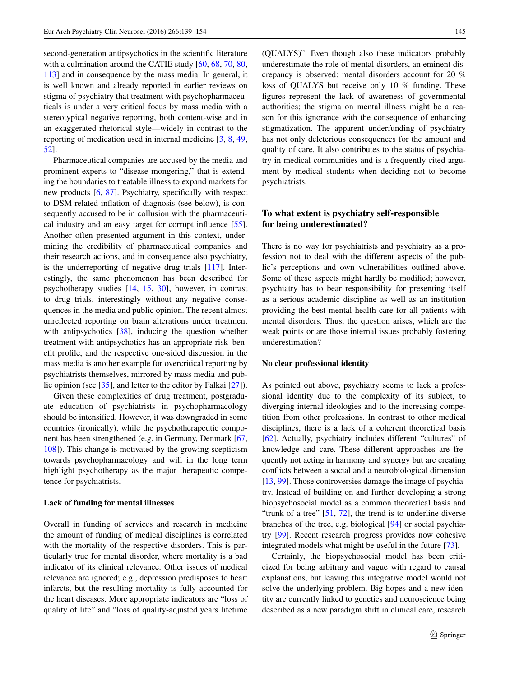second-generation antipsychotics in the scientific literature with a culmination around the CATIE study [[60,](#page-13-22) [68,](#page-14-16) [70,](#page-14-17) [80,](#page-14-18) [113](#page-15-9)] and in consequence by the mass media. In general, it is well known and already reported in earlier reviews on stigma of psychiatry that treatment with psychopharmaceuticals is under a very critical focus by mass media with a stereotypical negative reporting, both content-wise and in an exaggerated rhetorical style—widely in contrast to the reporting of medication used in internal medicine [\[3](#page-12-11), [8](#page-12-12), [49,](#page-13-23) [52](#page-13-24)].

Pharmaceutical companies are accused by the media and prominent experts to "disease mongering," that is extending the boundaries to treatable illness to expand markets for new products [\[6](#page-12-13), [87](#page-14-19)]. Psychiatry, specifically with respect to DSM-related inflation of diagnosis (see below), is consequently accused to be in collusion with the pharmaceutical industry and an easy target for corrupt influence [\[55](#page-13-25)]. Another often presented argument in this context, undermining the credibility of pharmaceutical companies and their research actions, and in consequence also psychiatry, is the underreporting of negative drug trials [\[117](#page-15-10)]. Interestingly, the same phenomenon has been described for psychotherapy studies [[14,](#page-12-14) [15,](#page-12-15) [30\]](#page-13-26), however, in contrast to drug trials, interestingly without any negative consequences in the media and public opinion. The recent almost unreflected reporting on brain alterations under treatment with antipsychotics [[38\]](#page-13-27), inducing the question whether treatment with antipsychotics has an appropriate risk–benefit profile, and the respective one-sided discussion in the mass media is another example for overcritical reporting by psychiatrists themselves, mirrored by mass media and public opinion (see [\[35](#page-13-28)], and letter to the editor by Falkai [[27\]](#page-13-16)).

Given these complexities of drug treatment, postgraduate education of psychiatrists in psychopharmacology should be intensified. However, it was downgraded in some countries (ironically), while the psychotherapeutic component has been strengthened (e.g. in Germany, Denmark [[67,](#page-13-29) [108](#page-15-11)]). This change is motivated by the growing scepticism towards psychopharmacology and will in the long term highlight psychotherapy as the major therapeutic competence for psychiatrists.

### **Lack of funding for mental illnesses**

Overall in funding of services and research in medicine the amount of funding of medical disciplines is correlated with the mortality of the respective disorders. This is particularly true for mental disorder, where mortality is a bad indicator of its clinical relevance. Other issues of medical relevance are ignored; e.g., depression predisposes to heart infarcts, but the resulting mortality is fully accounted for the heart diseases. More appropriate indicators are "loss of quality of life" and "loss of quality-adjusted years lifetime (QUALYS)". Even though also these indicators probably underestimate the role of mental disorders, an eminent discrepancy is observed: mental disorders account for 20 % loss of QUALYS but receive only 10 % funding. These figures represent the lack of awareness of governmental authorities; the stigma on mental illness might be a reason for this ignorance with the consequence of enhancing stigmatization. The apparent underfunding of psychiatry has not only deleterious consequences for the amount and quality of care. It also contributes to the status of psychiatry in medical communities and is a frequently cited argument by medical students when deciding not to become psychiatrists.

# **To what extent is psychiatry self‑responsible for being underestimated?**

There is no way for psychiatrists and psychiatry as a profession not to deal with the different aspects of the public's perceptions and own vulnerabilities outlined above. Some of these aspects might hardly be modified; however, psychiatry has to bear responsibility for presenting itself as a serious academic discipline as well as an institution providing the best mental health care for all patients with mental disorders. Thus, the question arises, which are the weak points or are those internal issues probably fostering underestimation?

### **No clear professional identity**

As pointed out above, psychiatry seems to lack a professional identity due to the complexity of its subject, to diverging internal ideologies and to the increasing competition from other professions. In contrast to other medical disciplines, there is a lack of a coherent theoretical basis [\[62](#page-13-17)]. Actually, psychiatry includes different "cultures" of knowledge and care. These different approaches are frequently not acting in harmony and synergy but are creating conflicts between a social and a neurobiological dimension [\[13](#page-12-2), [99](#page-14-20)]. Those controversies damage the image of psychiatry. Instead of building on and further developing a strong biopsychosocial model as a common theoretical basis and "trunk of a tree"  $[51, 72]$  $[51, 72]$  $[51, 72]$ , the trend is to underline diverse branches of the tree, e.g. biological [\[94](#page-14-22)] or social psychiatry [\[99](#page-14-20)]. Recent research progress provides now cohesive integrated models what might be useful in the future [\[73](#page-14-23)].

Certainly, the biopsychosocial model has been criticized for being arbitrary and vague with regard to causal explanations, but leaving this integrative model would not solve the underlying problem. Big hopes and a new identity are currently linked to genetics and neuroscience being described as a new paradigm shift in clinical care, research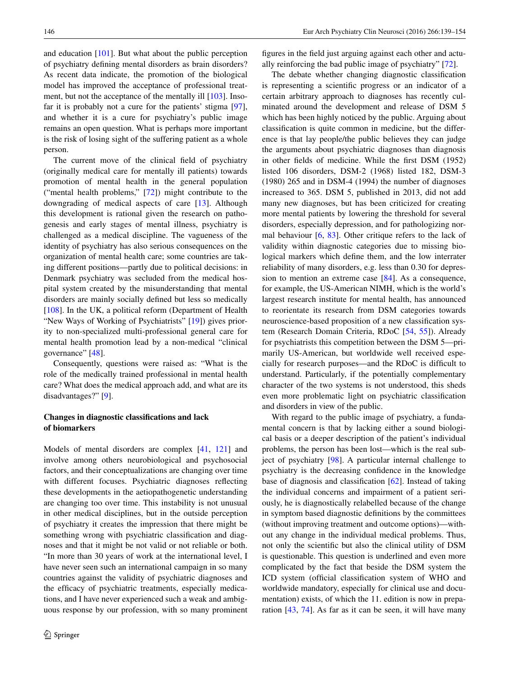and education [[101\]](#page-14-24). But what about the public perception of psychiatry defining mental disorders as brain disorders? As recent data indicate, the promotion of the biological model has improved the acceptance of professional treatment, but not the acceptance of the mentally ill [\[103](#page-14-0)]. Insofar it is probably not a cure for the patients' stigma [\[97](#page-14-25)], and whether it is a cure for psychiatry's public image remains an open question. What is perhaps more important is the risk of losing sight of the suffering patient as a whole person.

The current move of the clinical field of psychiatry (originally medical care for mentally ill patients) towards promotion of mental health in the general population ("mental health problems," [[72\]](#page-14-21)) might contribute to the downgrading of medical aspects of care [\[13](#page-12-2)]. Although this development is rational given the research on pathogenesis and early stages of mental illness, psychiatry is challenged as a medical discipline. The vagueness of the identity of psychiatry has also serious consequences on the organization of mental health care; some countries are taking different positions—partly due to political decisions: in Denmark psychiatry was secluded from the medical hospital system created by the misunderstanding that mental disorders are mainly socially defined but less so medically [\[108](#page-15-11)]. In the UK, a political reform (Department of Health "New Ways of Working of Psychiatrists" [\[19](#page-12-16)]) gives priority to non-specialized multi-professional general care for mental health promotion lead by a non-medical "clinical governance" [\[48](#page-13-8)].

Consequently, questions were raised as: "What is the role of the medically trained professional in mental health care? What does the medical approach add, and what are its disadvantages?" [[9\]](#page-12-17).

# **Changes in diagnostic classifications and lack of biomarkers**

Models of mental disorders are complex [[41,](#page-13-31) [121](#page-15-12)] and involve among others neurobiological and psychosocial factors, and their conceptualizations are changing over time with different focuses. Psychiatric diagnoses reflecting these developments in the aetiopathogenetic understanding are changing too over time. This instability is not unusual in other medical disciplines, but in the outside perception of psychiatry it creates the impression that there might be something wrong with psychiatric classification and diagnoses and that it might be not valid or not reliable or both. "In more than 30 years of work at the international level, I have never seen such an international campaign in so many countries against the validity of psychiatric diagnoses and the efficacy of psychiatric treatments, especially medications, and I have never experienced such a weak and ambiguous response by our profession, with so many prominent

figures in the field just arguing against each other and actually reinforcing the bad public image of psychiatry" [\[72](#page-14-21)].

The debate whether changing diagnostic classification is representing a scientific progress or an indicator of a certain arbitrary approach to diagnoses has recently culminated around the development and release of DSM 5 which has been highly noticed by the public. Arguing about classification is quite common in medicine, but the difference is that lay people/the public believes they can judge the arguments about psychiatric diagnoses than diagnosis in other fields of medicine. While the first DSM (1952) listed 106 disorders, DSM-2 (1968) listed 182, DSM-3 (1980) 265 and in DSM-4 (1994) the number of diagnoses increased to 365. DSM 5, published in 2013, did not add many new diagnoses, but has been criticized for creating more mental patients by lowering the threshold for several disorders, especially depression, and for pathologizing normal behaviour [\[6](#page-12-13), [83](#page-14-10)]. Other critique refers to the lack of validity within diagnostic categories due to missing biological markers which define them, and the low interrater reliability of many disorders, e.g. less than 0.30 for depression to mention an extreme case [\[84](#page-14-11)]. As a consequence, for example, the US-American NIMH, which is the world's largest research institute for mental health, has announced to reorientate its research from DSM categories towards neuroscience-based proposition of a new classification system (Research Domain Criteria, RDoC [[54,](#page-13-32) [55\]](#page-13-25)). Already for psychiatrists this competition between the DSM 5—primarily US-American, but worldwide well received especially for research purposes—and the RDoC is difficult to understand. Particularly, if the potentially complementary character of the two systems is not understood, this sheds even more problematic light on psychiatric classification and disorders in view of the public.

With regard to the public image of psychiatry, a fundamental concern is that by lacking either a sound biological basis or a deeper description of the patient's individual problems, the person has been lost—which is the real subject of psychiatry [\[98](#page-14-26)]. A particular internal challenge to psychiatry is the decreasing confidence in the knowledge base of diagnosis and classification [\[62](#page-13-17)]. Instead of taking the individual concerns and impairment of a patient seriously, he is diagnostically relabelled because of the change in symptom based diagnostic definitions by the committees (without improving treatment and outcome options)—without any change in the individual medical problems. Thus, not only the scientific but also the clinical utility of DSM is questionable. This question is underlined and even more complicated by the fact that beside the DSM system the ICD system (official classification system of WHO and worldwide mandatory, especially for clinical use and documentation) exists, of which the 11. edition is now in preparation [\[43](#page-13-33), [74\]](#page-14-27). As far as it can be seen, it will have many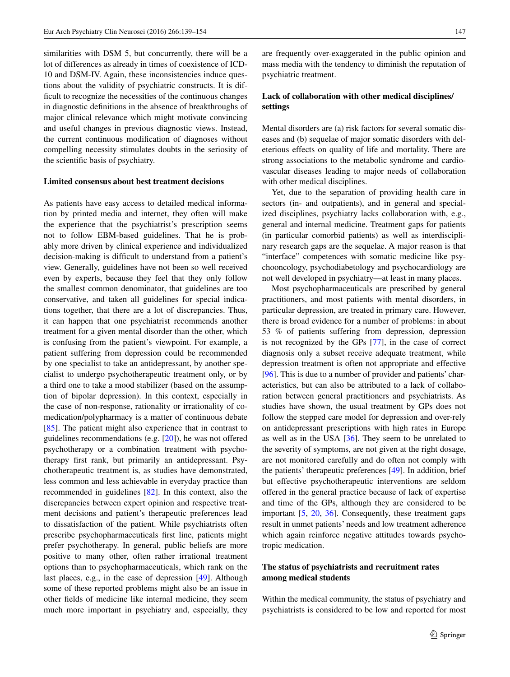similarities with DSM 5, but concurrently, there will be a lot of differences as already in times of coexistence of ICD-10 and DSM-IV. Again, these inconsistencies induce questions about the validity of psychiatric constructs. It is difficult to recognize the necessities of the continuous changes in diagnostic definitions in the absence of breakthroughs of major clinical relevance which might motivate convincing and useful changes in previous diagnostic views. Instead, the current continuous modification of diagnoses without compelling necessity stimulates doubts in the seriosity of the scientific basis of psychiatry.

### **Limited consensus about best treatment decisions**

As patients have easy access to detailed medical information by printed media and internet, they often will make the experience that the psychiatrist's prescription seems not to follow EBM-based guidelines. That he is probably more driven by clinical experience and individualized decision-making is difficult to understand from a patient's view. Generally, guidelines have not been so well received even by experts, because they feel that they only follow the smallest common denominator, that guidelines are too conservative, and taken all guidelines for special indications together, that there are a lot of discrepancies. Thus, it can happen that one psychiatrist recommends another treatment for a given mental disorder than the other, which is confusing from the patient's viewpoint. For example, a patient suffering from depression could be recommended by one specialist to take an antidepressant, by another specialist to undergo psychotherapeutic treatment only, or by a third one to take a mood stabilizer (based on the assumption of bipolar depression). In this context, especially in the case of non-response, rationality or irrationality of comedication/polypharmacy is a matter of continuous debate [\[85](#page-14-28)]. The patient might also experience that in contrast to guidelines recommendations (e.g. [[20\]](#page-12-18)), he was not offered psychotherapy or a combination treatment with psychotherapy first rank, but primarily an antidepressant. Psychotherapeutic treatment is, as studies have demonstrated, less common and less achievable in everyday practice than recommended in guidelines [\[82](#page-14-29)]. In this context, also the discrepancies between expert opinion and respective treatment decisions and patient's therapeutic preferences lead to dissatisfaction of the patient. While psychiatrists often prescribe psychopharmaceuticals first line, patients might prefer psychotherapy. In general, public beliefs are more positive to many other, often rather irrational treatment options than to psychopharmaceuticals, which rank on the last places, e.g., in the case of depression [\[49](#page-13-23)]. Although some of these reported problems might also be an issue in other fields of medicine like internal medicine, they seem much more important in psychiatry and, especially, they are frequently over-exaggerated in the public opinion and mass media with the tendency to diminish the reputation of psychiatric treatment.

## **Lack of collaboration with other medical disciplines/ settings**

Mental disorders are (a) risk factors for several somatic diseases and (b) sequelae of major somatic disorders with deleterious effects on quality of life and mortality. There are strong associations to the metabolic syndrome and cardiovascular diseases leading to major needs of collaboration with other medical disciplines.

Yet, due to the separation of providing health care in sectors (in- and outpatients), and in general and specialized disciplines, psychiatry lacks collaboration with, e.g., general and internal medicine. Treatment gaps for patients (in particular comorbid patients) as well as interdisciplinary research gaps are the sequelae. A major reason is that "interface" competences with somatic medicine like psychooncology, psychodiabetology and psychocardiology are not well developed in psychiatry—at least in many places.

Most psychopharmaceuticals are prescribed by general practitioners, and most patients with mental disorders, in particular depression, are treated in primary care. However, there is broad evidence for a number of problems: in about 53 % of patients suffering from depression, depression is not recognized by the GPs [\[77](#page-14-30)], in the case of correct diagnosis only a subset receive adequate treatment, while depression treatment is often not appropriate and effective [\[96](#page-14-31)]. This is due to a number of provider and patients' characteristics, but can also be attributed to a lack of collaboration between general practitioners and psychiatrists. As studies have shown, the usual treatment by GPs does not follow the stepped care model for depression and over-rely on antidepressant prescriptions with high rates in Europe as well as in the USA [\[36](#page-13-34)]. They seem to be unrelated to the severity of symptoms, are not given at the right dosage, are not monitored carefully and do often not comply with the patients' therapeutic preferences [\[49](#page-13-23)]. In addition, brief but effective psychotherapeutic interventions are seldom offered in the general practice because of lack of expertise and time of the GPs, although they are considered to be important [\[5](#page-12-19), [20](#page-12-18), [36\]](#page-13-34). Consequently, these treatment gaps result in unmet patients' needs and low treatment adherence which again reinforce negative attitudes towards psychotropic medication.

# **The status of psychiatrists and recruitment rates among medical students**

Within the medical community, the status of psychiatry and psychiatrists is considered to be low and reported for most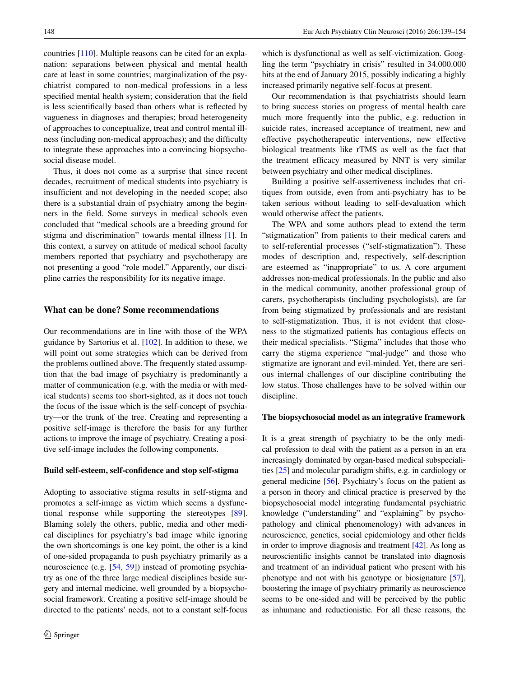countries [[110\]](#page-15-0). Multiple reasons can be cited for an explanation: separations between physical and mental health care at least in some countries; marginalization of the psychiatrist compared to non-medical professions in a less specified mental health system; consideration that the field is less scientifically based than others what is reflected by vagueness in diagnoses and therapies; broad heterogeneity of approaches to conceptualize, treat and control mental illness (including non-medical approaches); and the difficulty to integrate these approaches into a convincing biopsychosocial disease model.

Thus, it does not come as a surprise that since recent decades, recruitment of medical students into psychiatry is insufficient and not developing in the needed scope; also there is a substantial drain of psychiatry among the beginners in the field. Some surveys in medical schools even concluded that "medical schools are a breeding ground for stigma and discrimination" towards mental illness [[1\]](#page-12-20). In this context, a survey on attitude of medical school faculty members reported that psychiatry and psychotherapy are not presenting a good "role model." Apparently, our discipline carries the responsibility for its negative image.

### **What can be done? Some recommendations**

Our recommendations are in line with those of the WPA guidance by Sartorius et al. [\[102](#page-14-1)]. In addition to these, we will point out some strategies which can be derived from the problems outlined above. The frequently stated assumption that the bad image of psychiatry is predominantly a matter of communication (e.g. with the media or with medical students) seems too short-sighted, as it does not touch the focus of the issue which is the self-concept of psychiatry—or the trunk of the tree. Creating and representing a positive self-image is therefore the basis for any further actions to improve the image of psychiatry. Creating a positive self-image includes the following components.

#### **Build self‑esteem, self‑confidence and stop self‑stigma**

Adopting to associative stigma results in self-stigma and promotes a self-image as victim which seems a dysfunctional response while supporting the stereotypes [\[89](#page-14-32)]. Blaming solely the others, public, media and other medical disciplines for psychiatry's bad image while ignoring the own shortcomings is one key point, the other is a kind of one-sided propaganda to push psychiatry primarily as a neuroscience (e.g. [\[54](#page-13-32), [59\]](#page-13-35)) instead of promoting psychiatry as one of the three large medical disciplines beside surgery and internal medicine, well grounded by a biopsychosocial framework. Creating a positive self-image should be directed to the patients' needs, not to a constant self-focus

which is dysfunctional as well as self-victimization. Googling the term "psychiatry in crisis" resulted in 34.000.000 hits at the end of January 2015, possibly indicating a highly increased primarily negative self-focus at present.

Our recommendation is that psychiatrists should learn to bring success stories on progress of mental health care much more frequently into the public, e.g. reduction in suicide rates, increased acceptance of treatment, new and effective psychotherapeutic interventions, new effective biological treatments like rTMS as well as the fact that the treatment efficacy measured by NNT is very similar between psychiatry and other medical disciplines.

Building a positive self-assertiveness includes that critiques from outside, even from anti-psychiatry has to be taken serious without leading to self-devaluation which would otherwise affect the patients.

The WPA and some authors plead to extend the term "stigmatization" from patients to their medical carers and to self-referential processes ("self-stigmatization"). These modes of description and, respectively, self-description are esteemed as "inappropriate" to us. A core argument addresses non-medical professionals. In the public and also in the medical community, another professional group of carers, psychotherapists (including psychologists), are far from being stigmatized by professionals and are resistant to self-stigmatization. Thus, it is not evident that closeness to the stigmatized patients has contagious effects on their medical specialists. "Stigma" includes that those who carry the stigma experience "mal-judge" and those who stigmatize are ignorant and evil-minded. Yet, there are serious internal challenges of our discipline contributing the low status. Those challenges have to be solved within our discipline.

#### **The biopsychosocial model as an integrative framework**

It is a great strength of psychiatry to be the only medical profession to deal with the patient as a person in an era increasingly dominated by organ-based medical subspecialities [\[25](#page-13-36)] and molecular paradigm shifts, e.g. in cardiology or general medicine [\[56](#page-13-37)]. Psychiatry's focus on the patient as a person in theory and clinical practice is preserved by the biopsychosocial model integrating fundamental psychiatric knowledge ("understanding" and "explaining" by psychopathology and clinical phenomenology) with advances in neuroscience, genetics, social epidemiology and other fields in order to improve diagnosis and treatment [[42](#page-13-38)]. As long as neuroscientific insights cannot be translated into diagnosis and treatment of an individual patient who present with his phenotype and not with his genotype or biosignature [[57\]](#page-13-39), boostering the image of psychiatry primarily as neuroscience seems to be one-sided and will be perceived by the public as inhumane and reductionistic. For all these reasons, the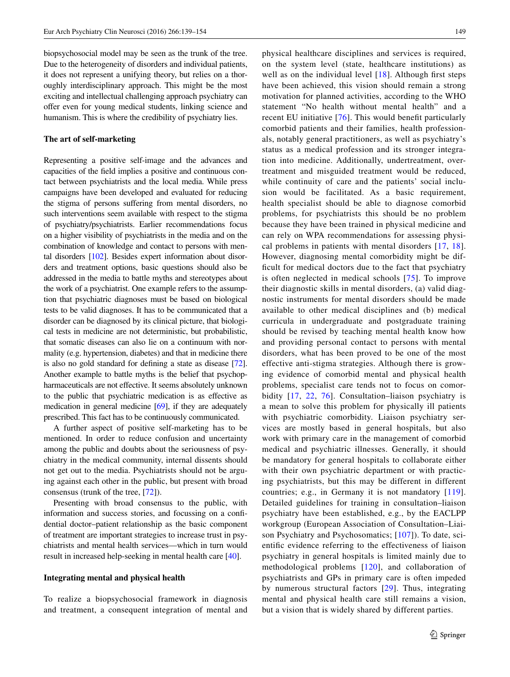biopsychosocial model may be seen as the trunk of the tree. Due to the heterogeneity of disorders and individual patients, it does not represent a unifying theory, but relies on a thoroughly interdisciplinary approach. This might be the most exciting and intellectual challenging approach psychiatry can offer even for young medical students, linking science and humanism. This is where the credibility of psychiatry lies.

#### **The art of self‑marketing**

Representing a positive self-image and the advances and capacities of the field implies a positive and continuous contact between psychiatrists and the local media. While press campaigns have been developed and evaluated for reducing the stigma of persons suffering from mental disorders, no such interventions seem available with respect to the stigma of psychiatry/psychiatrists. Earlier recommendations focus on a higher visibility of psychiatrists in the media and on the combination of knowledge and contact to persons with mental disorders [[102](#page-14-1)]. Besides expert information about disorders and treatment options, basic questions should also be addressed in the media to battle myths and stereotypes about the work of a psychiatrist. One example refers to the assumption that psychiatric diagnoses must be based on biological tests to be valid diagnoses. It has to be communicated that a disorder can be diagnosed by its clinical picture, that biological tests in medicine are not deterministic, but probabilistic, that somatic diseases can also lie on a continuum with normality (e.g. hypertension, diabetes) and that in medicine there is also no gold standard for defining a state as disease [[72](#page-14-21)]. Another example to battle myths is the belief that psychopharmaceuticals are not effective. It seems absolutely unknown to the public that psychiatric medication is as effective as medication in general medicine [\[69\]](#page-14-15), if they are adequately prescribed. This fact has to be continuously communicated.

A further aspect of positive self-marketing has to be mentioned. In order to reduce confusion and uncertainty among the public and doubts about the seriousness of psychiatry in the medical community, internal dissents should not get out to the media. Psychiatrists should not be arguing against each other in the public, but present with broad consensus (trunk of the tree, [[72\]](#page-14-21)).

Presenting with broad consensus to the public, with information and success stories, and focussing on a confidential doctor–patient relationship as the basic component of treatment are important strategies to increase trust in psychiatrists and mental health services—which in turn would result in increased help-seeking in mental health care [[40](#page-13-2)].

### **Integrating mental and physical health**

To realize a biopsychosocial framework in diagnosis and treatment, a consequent integration of mental and

physical healthcare disciplines and services is required, on the system level (state, healthcare institutions) as well as on the individual level [[18](#page-12-1)]. Although first steps have been achieved, this vision should remain a strong motivation for planned activities, according to the WHO statement "No health without mental health" and a recent EU initiative [[76](#page-14-33)]. This would benefit particularly comorbid patients and their families, health professionals, notably general practitioners, as well as psychiatry's status as a medical profession and its stronger integration into medicine. Additionally, undertreatment, overtreatment and misguided treatment would be reduced, while continuity of care and the patients' social inclusion would be facilitated. As a basic requirement, health specialist should be able to diagnose comorbid problems, for psychiatrists this should be no problem because they have been trained in physical medicine and can rely on WPA recommendations for assessing physical problems in patients with mental disorders [\[17,](#page-12-21) [18](#page-12-1)]. However, diagnosing mental comorbidity might be difficult for medical doctors due to the fact that psychiatry is often neglected in medical schools [[75](#page-14-34)]. To improve their diagnostic skills in mental disorders, (a) valid diagnostic instruments for mental disorders should be made available to other medical disciplines and (b) medical curricula in undergraduate and postgraduate training should be revised by teaching mental health know how and providing personal contact to persons with mental disorders, what has been proved to be one of the most effective anti-stigma strategies. Although there is growing evidence of comorbid mental and physical health problems, specialist care tends not to focus on comorbidity [[17,](#page-12-21) [22,](#page-12-22) [76\]](#page-14-33). Consultation–liaison psychiatry is a mean to solve this problem for physically ill patients with psychiatric comorbidity. Liaison psychiatry services are mostly based in general hospitals, but also work with primary care in the management of comorbid medical and psychiatric illnesses. Generally, it should be mandatory for general hospitals to collaborate either with their own psychiatric department or with practicing psychiatrists, but this may be different in different countries; e.g., in Germany it is not mandatory [[119](#page-15-13)]. Detailed guidelines for training in consultation–liaison psychiatry have been established, e.g., by the EACLPP workgroup (European Association of Consultation–Liaison Psychiatry and Psychosomatics; [[107](#page-15-14)]). To date, scientific evidence referring to the effectiveness of liaison psychiatry in general hospitals is limited mainly due to methodological problems [[120](#page-15-15)], and collaboration of psychiatrists and GPs in primary care is often impeded by numerous structural factors [\[29\]](#page-13-40). Thus, integrating mental and physical health care still remains a vision, but a vision that is widely shared by different parties.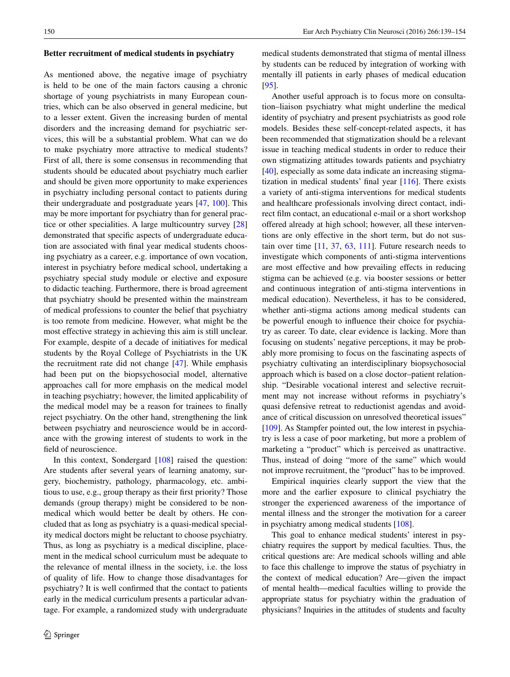#### **Better recruitment of medical students in psychiatry**

As mentioned above, the negative image of psychiatry is held to be one of the main factors causing a chronic shortage of young psychiatrists in many European countries, which can be also observed in general medicine, but to a lesser extent. Given the increasing burden of mental disorders and the increasing demand for psychiatric services, this will be a substantial problem. What can we do to make psychiatry more attractive to medical students? First of all, there is some consensus in recommending that students should be educated about psychiatry much earlier and should be given more opportunity to make experiences in psychiatry including personal contact to patients during their undergraduate and postgraduate years [[47,](#page-13-9) [100\]](#page-14-4). This may be more important for psychiatry than for general practice or other specialities. A large multicountry survey [[28\]](#page-13-41) demonstrated that specific aspects of undergraduate education are associated with final year medical students choosing psychiatry as a career, e.g. importance of own vocation, interest in psychiatry before medical school, undertaking a psychiatry special study module or elective and exposure to didactic teaching. Furthermore, there is broad agreement that psychiatry should be presented within the mainstream of medical professions to counter the belief that psychiatry is too remote from medicine. However, what might be the most effective strategy in achieving this aim is still unclear. For example, despite of a decade of initiatives for medical students by the Royal College of Psychiatrists in the UK the recruitment rate did not change [\[47](#page-13-9)]. While emphasis had been put on the biopsychosocial model, alternative approaches call for more emphasis on the medical model in teaching psychiatry; however, the limited applicability of the medical model may be a reason for trainees to finally reject psychiatry. On the other hand, strengthening the link between psychiatry and neuroscience would be in accordance with the growing interest of students to work in the field of neuroscience.

In this context, Sondergard [\[108](#page-15-11)] raised the question: Are students after several years of learning anatomy, surgery, biochemistry, pathology, pharmacology, etc. ambitious to use, e.g., group therapy as their first priority? Those demands (group therapy) might be considered to be nonmedical which would better be dealt by others. He concluded that as long as psychiatry is a quasi-medical speciality medical doctors might be reluctant to choose psychiatry. Thus, as long as psychiatry is a medical discipline, placement in the medical school curriculum must be adequate to the relevance of mental illness in the society, i.e. the loss of quality of life. How to change those disadvantages for psychiatry? It is well confirmed that the contact to patients early in the medical curriculum presents a particular advantage. For example, a randomized study with undergraduate medical students demonstrated that stigma of mental illness by students can be reduced by integration of working with mentally ill patients in early phases of medical education [\[95](#page-14-35)].

Another useful approach is to focus more on consultation–liaison psychiatry what might underline the medical identity of psychiatry and present psychiatrists as good role models. Besides these self-concept-related aspects, it has been recommended that stigmatization should be a relevant issue in teaching medical students in order to reduce their own stigmatizing attitudes towards patients and psychiatry [\[40](#page-13-2)], especially as some data indicate an increasing stigmatization in medical students' final year [[116\]](#page-15-1). There exists a variety of anti-stigma interventions for medical students and healthcare professionals involving direct contact, indirect film contact, an educational e-mail or a short workshop offered already at high school; however, all these interventions are only effective in the short term, but do not sustain over time [[11,](#page-12-23) [37,](#page-13-42) [63,](#page-13-15) [111\]](#page-15-16). Future research needs to investigate which components of anti-stigma interventions are most effective and how prevailing effects in reducing stigma can be achieved (e.g. via booster sessions or better and continuous integration of anti-stigma interventions in medical education). Nevertheless, it has to be considered, whether anti-stigma actions among medical students can be powerful enough to influence their choice for psychiatry as career. To date, clear evidence is lacking. More than focusing on students' negative perceptions, it may be probably more promising to focus on the fascinating aspects of psychiatry cultivating an interdisciplinary biopsychosocial approach which is based on a close doctor–patient relationship. "Desirable vocational interest and selective recruitment may not increase without reforms in psychiatry's quasi defensive retreat to reductionist agendas and avoidance of critical discussion on unresolved theoretical issues" [\[109](#page-15-17)]. As Stampfer pointed out, the low interest in psychiatry is less a case of poor marketing, but more a problem of marketing a "product" which is perceived as unattractive. Thus, instead of doing "more of the same" which would not improve recruitment, the "product" has to be improved.

Empirical inquiries clearly support the view that the more and the earlier exposure to clinical psychiatry the stronger the experienced awareness of the importance of mental illness and the stronger the motivation for a career in psychiatry among medical students [\[108](#page-15-11)].

This goal to enhance medical students' interest in psychiatry requires the support by medical faculties. Thus, the critical questions are: Are medical schools willing and able to face this challenge to improve the status of psychiatry in the context of medical education? Are—given the impact of mental health—medical faculties willing to provide the appropriate status for psychiatry within the graduation of physicians? Inquiries in the attitudes of students and faculty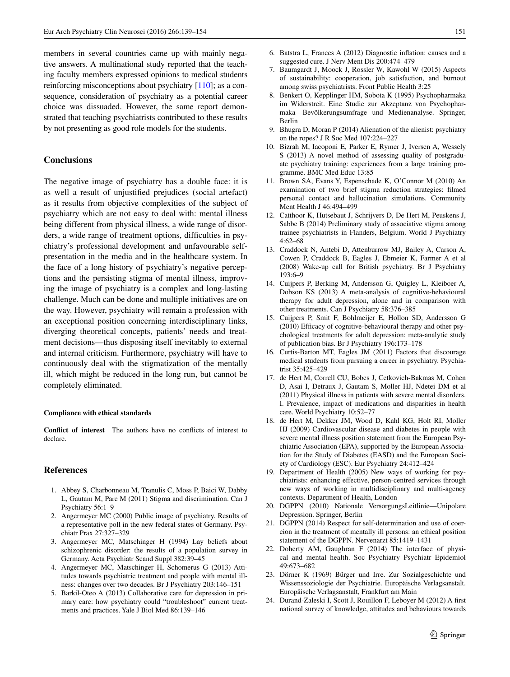members in several countries came up with mainly negative answers. A multinational study reported that the teaching faculty members expressed opinions to medical students reinforcing misconceptions about psychiatry [\[110\]](#page-15-0); as a consequence, consideration of psychiatry as a potential career choice was dissuaded. However, the same report demonstrated that teaching psychiatrists contributed to these results by not presenting as good role models for the students.

### **Conclusions**

The negative image of psychiatry has a double face: it is as well a result of unjustified prejudices (social artefact) as it results from objective complexities of the subject of psychiatry which are not easy to deal with: mental illness being different from physical illness, a wide range of disorders, a wide range of treatment options, difficulties in psychiatry's professional development and unfavourable selfpresentation in the media and in the healthcare system. In the face of a long history of psychiatry's negative perceptions and the persisting stigma of mental illness, improving the image of psychiatry is a complex and long-lasting challenge. Much can be done and multiple initiatives are on the way. However, psychiatry will remain a profession with an exceptional position concerning interdisciplinary links, diverging theoretical concepts, patients' needs and treatment decisions—thus disposing itself inevitably to external and internal criticism. Furthermore, psychiatry will have to continuously deal with the stigmatization of the mentally ill, which might be reduced in the long run, but cannot be completely eliminated.

#### **Compliance with ethical standards**

**Conflict of interest** The authors have no conflicts of interest to declare.

#### **References**

- <span id="page-12-20"></span>1. Abbey S, Charbonneau M, Tranulis C, Moss P, Baici W, Dabby L, Gautam M, Pare M (2011) Stigma and discrimination. Can J Psychiatry 56:1–9
- <span id="page-12-4"></span>2. Angermeyer MC (2000) Public image of psychiatry. Results of a representative poll in the new federal states of Germany. Psychiatr Prax 27:327–329
- <span id="page-12-11"></span>3. Angermeyer MC, Matschinger H (1994) Lay beliefs about schizophrenic disorder: the results of a population survey in Germany. Acta Psychiatr Scand Suppl 382:39–45
- <span id="page-12-0"></span>4. Angermeyer MC, Matschinger H, Schomerus G (2013) Attitudes towards psychiatric treatment and people with mental illness: changes over two decades. Br J Psychiatry 203:146–151
- <span id="page-12-19"></span>5. Barkil-Oteo A (2013) Collaborative care for depression in primary care: how psychiatry could "troubleshoot" current treatments and practices. Yale J Biol Med 86:139–146
- <span id="page-12-13"></span>6. Batstra L, Frances A (2012) Diagnostic inflation: causes and a suggested cure. J Nerv Ment Dis 200:474–479
- <span id="page-12-8"></span>7. Baumgardt J, Moock J, Rossler W, Kawohl W (2015) Aspects of sustainability: cooperation, job satisfaction, and burnout among swiss psychiatrists. Front Public Health 3:25
- <span id="page-12-12"></span>8. Benkert O, Kepplinger HM, Sobota K (1995) Psychopharmaka im Widerstreit. Eine Studie zur Akzeptanz von Psychopharmaka—Bevölkerungsumfrage und Medienanalyse. Springer, Berlin
- <span id="page-12-17"></span>9. Bhugra D, Moran P (2014) Alienation of the alienist: psychiatry on the ropes? J R Soc Med 107:224–227
- <span id="page-12-9"></span>10. Bizrah M, Iacoponi E, Parker E, Rymer J, Iversen A, Wessely S (2013) A novel method of assessing quality of postgraduate psychiatry training: experiences from a large training programme. BMC Med Educ 13:85
- <span id="page-12-23"></span>11. Brown SA, Evans Y, Espenschade K, O'Connor M (2010) An examination of two brief stigma reduction strategies: filmed personal contact and hallucination simulations. Community Ment Health J 46:494–499
- <span id="page-12-7"></span>12. Catthoor K, Hutsebaut J, Schrijvers D, De Hert M, Peuskens J, Sabbe B (2014) Preliminary study of associative stigma among trainee psychiatrists in Flanders, Belgium. World J Psychiatry 4:62–68
- <span id="page-12-2"></span>13. Craddock N, Antebi D, Attenburrow MJ, Bailey A, Carson A, Cowen P, Craddock B, Eagles J, Ebmeier K, Farmer A et al (2008) Wake-up call for British psychiatry. Br J Psychiatry 193:6–9
- <span id="page-12-14"></span>14. Cuijpers P, Berking M, Andersson G, Quigley L, Kleiboer A, Dobson KS (2013) A meta-analysis of cognitive-behavioural therapy for adult depression, alone and in comparison with other treatments. Can J Psychiatry 58:376–385
- <span id="page-12-15"></span>15. Cuijpers P, Smit F, Bohlmeijer E, Hollon SD, Andersson G (2010) Efficacy of cognitive-behavioural therapy and other psychological treatments for adult depression: meta-analytic study of publication bias. Br J Psychiatry 196:173–178
- <span id="page-12-3"></span>16. Curtis-Barton MT, Eagles JM (2011) Factors that discourage medical students from pursuing a career in psychiatry. Psychiatrist 35:425–429
- <span id="page-12-21"></span>17. de Hert M, Correll CU, Bobes J, Cetkovich-Bakmas M, Cohen D, Asai I, Detraux J, Gautam S, Moller HJ, Ndetei DM et al (2011) Physical illness in patients with severe mental disorders. I. Prevalence, impact of medications and disparities in health care. World Psychiatry 10:52–77
- <span id="page-12-1"></span>18. de Hert M, Dekker JM, Wood D, Kahl KG, Holt RI, Moller HJ (2009) Cardiovascular disease and diabetes in people with severe mental illness position statement from the European Psychiatric Association (EPA), supported by the European Association for the Study of Diabetes (EASD) and the European Society of Cardiology (ESC). Eur Psychiatry 24:412–424
- <span id="page-12-16"></span>19. Department of Health (2005) New ways of working for psychiatrists: enhancing effective, person-centred services through new ways of working in multidisciplinary and multi-agency contexts. Department of Health, London
- <span id="page-12-18"></span>20. DGPPN (2010) Nationale VersorgungsLeitlinie—Unipolare Depression. Springer, Berlin
- <span id="page-12-6"></span>21. DGPPN (2014) Respect for self-determination and use of coercion in the treatment of mentally ill persons: an ethical position statement of the DGPPN. Nervenarzt 85:1419–1431
- <span id="page-12-22"></span>22. Doherty AM, Gaughran F (2014) The interface of physical and mental health. Soc Psychiatry Psychiatr Epidemiol 49:673–682
- <span id="page-12-5"></span>23. Dörner K (1969) Bürger und Irre. Zur Sozialgeschichte und Wissenssoziologie der Psychiatrie. Europäische Verlagsanstalt. Europäische Verlagsanstalt, Frankfurt am Main
- <span id="page-12-10"></span>24. Durand-Zaleski I, Scott J, Rouillon F, Leboyer M (2012) A first national survey of knowledge, attitudes and behaviours towards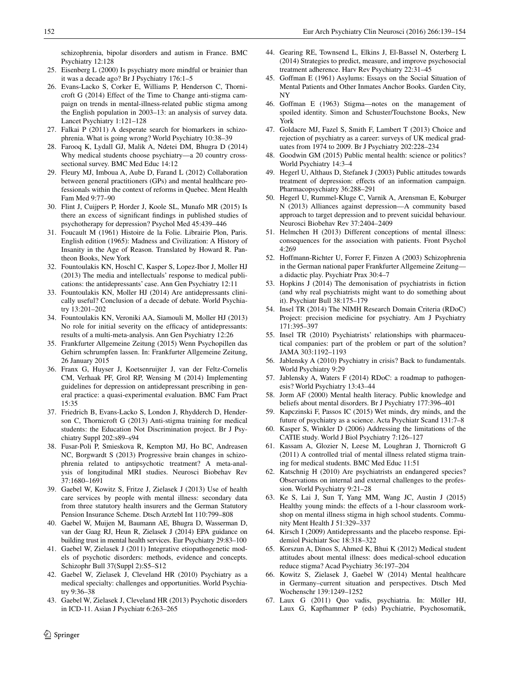schizophrenia, bipolar disorders and autism in France. BMC Psychiatry 12:128

- <span id="page-13-36"></span>25. Eisenberg L (2000) Is psychiatry more mindful or brainier than it was a decade ago? Br J Psychiatry 176:1–5
- <span id="page-13-0"></span>26. Evans-Lacko S, Corker E, Williams P, Henderson C, Thornicroft G (2014) Effect of the Time to Change anti-stigma campaign on trends in mental-illness-related public stigma among the English population in 2003–13: an analysis of survey data. Lancet Psychiatry 1:121–128
- <span id="page-13-16"></span>27. Falkai P (2011) A desperate search for biomarkers in schizophrenia. What is going wrong? World Psychiatry 10:38–39
- <span id="page-13-41"></span>28. Farooq K, Lydall GJ, Malik A, Ndetei DM, Bhugra D (2014) Why medical students choose psychiatry—a 20 country crosssectional survey. BMC Med Educ 14:12
- <span id="page-13-40"></span>29. Fleury MJ, Imboua A, Aube D, Farand L (2012) Collaboration between general practitioners (GPs) and mental healthcare professionals within the context of reforms in Quebec. Ment Health Fam Med 9:77–90
- <span id="page-13-26"></span>30. Flint J, Cuijpers P, Horder J, Koole SL, Munafo MR (2015) Is there an excess of significant findings in published studies of psychotherapy for depression? Psychol Med 45:439–446
- <span id="page-13-11"></span>31. Foucault M (1961) Histoire de la Folie. Librairie Plon, Paris. English edition (1965): Madness and Civilization: A History of Insanity in the Age of Reason. Translated by Howard R. Pantheon Books, New York
- <span id="page-13-21"></span>32. Fountoulakis KN, Hoschl C, Kasper S, Lopez-Ibor J, Moller HJ (2013) The media and intellectuals' response to medical publications: the antidepressants' case. Ann Gen Psychiatry 12:11
- <span id="page-13-19"></span>33. Fountoulakis KN, Moller HJ (2014) Are antidepressants clinically useful? Conclusion of a decade of debate. World Psychiatry 13:201–202
- <span id="page-13-20"></span>34. Fountoulakis KN, Veroniki AA, Siamouli M, Moller HJ (2013) No role for initial severity on the efficacy of antidepressants: results of a multi-meta-analysis. Ann Gen Psychiatry 12:26
- <span id="page-13-28"></span>35. Frankfurter Allgemeine Zeitung (2015) Wenn Psychopillen das Gehirn schrumpfen lassen. In: Frankfurter Allgemeine Zeitung, 26 January 2015
- <span id="page-13-34"></span>36. Franx G, Huyser J, Koetsenruijter J, van der Feltz-Cornelis CM, Verhaak PF, Grol RP, Wensing M (2014) Implementing guidelines for depression on antidepressant prescribing in general practice: a quasi-experimental evaluation. BMC Fam Pract 15:35
- <span id="page-13-42"></span>37. Friedrich B, Evans-Lacko S, London J, Rhydderch D, Henderson C, Thornicroft G (2013) Anti-stigma training for medical students: the Education Not Discrimination project. Br J Psychiatry Suppl 202:s89–s94
- <span id="page-13-27"></span>38. Fusar-Poli P, Smieskova R, Kempton MJ, Ho BC, Andreasen NC, Borgwardt S (2013) Progressive brain changes in schizophrenia related to antipsychotic treatment? A meta-analysis of longitudinal MRI studies. Neurosci Biobehav Rev 37:1680–1691
- <span id="page-13-7"></span>39. Gaebel W, Kowitz S, Fritze J, Zielasek J (2013) Use of health care services by people with mental illness: secondary data from three statutory health insurers and the German Statutory Pension Insurance Scheme. Dtsch Arztebl Int 110:799–808
- <span id="page-13-2"></span>40. Gaebel W, Muijen M, Baumann AE, Bhugra D, Wasserman D, van der Gaag RJ, Heun R, Zielasek J (2014) EPA guidance on building trust in mental health services. Eur Psychiatry 29:83–100
- <span id="page-13-31"></span>41. Gaebel W, Zielasek J (2011) Integrative etiopathogenetic models of psychotic disorders: methods, evidence and concepts. Schizophr Bull 37(Suppl 2):S5–S12
- <span id="page-13-38"></span>42. Gaebel W, Zielasek J, Cleveland HR (2010) Psychiatry as a medical specialty: challenges and opportunities. World Psychiatry 9:36–38
- <span id="page-13-33"></span>43. Gaebel W, Zielasek J, Cleveland HR (2013) Psychotic disorders in ICD-11. Asian J Psychiatr 6:263–265
- <span id="page-13-6"></span>44. Gearing RE, Townsend L, Elkins J, El-Bassel N, Osterberg L (2014) Strategies to predict, measure, and improve psychosocial treatment adherence. Harv Rev Psychiatry 22:31–45
- <span id="page-13-10"></span>45. Goffman E (1961) Asylums: Essays on the Social Situation of Mental Patients and Other Inmates Anchor Books. Garden City, NY
- <span id="page-13-12"></span>46. Goffman E (1963) Stigma—notes on the management of spoiled identity. Simon and Schuster/Touchstone Books, New York
- <span id="page-13-9"></span>47. Goldacre MJ, Fazel S, Smith F, Lambert T (2013) Choice and rejection of psychiatry as a career: surveys of UK medical graduates from 1974 to 2009. Br J Psychiatry 202:228–234
- <span id="page-13-8"></span>Goodwin GM (2015) Public mental health: science or politics? World Psychiatry 14:3–4
- <span id="page-13-23"></span>49. Hegerl U, Althaus D, Stefanek J (2003) Public attitudes towards treatment of depression: effects of an information campaign. Pharmacopsychiatry 36:288–291
- <span id="page-13-14"></span>50. Hegerl U, Rummel-Kluge C, Varnik A, Arensman E, Koburger N (2013) Alliances against depression—A community based approach to target depression and to prevent suicidal behaviour. Neurosci Biobehav Rev 37:2404–2409
- <span id="page-13-30"></span>51. Helmchen H (2013) Different conceptions of mental illness: consequences for the association with patients. Front Psychol 4:269
- <span id="page-13-24"></span>52. Hoffmann-Richter U, Forrer F, Finzen A (2003) Schizophrenia in the German national paper Frankfurter Allgemeine Zeitung a didactic play. Psychiatr Prax 30:4–7
- <span id="page-13-3"></span>53. Hopkins J (2014) The demonisation of psychiatrists in fiction (and why real psychiatrists might want to do something about it). Psychiatr Bull 38:175–179
- <span id="page-13-32"></span>54. Insel TR (2014) The NIMH Research Domain Criteria (RDoC) Project: precision medicine for psychiatry. Am J Psychiatry 171:395–397
- <span id="page-13-25"></span>55. Insel TR (2010) Psychiatrists' relationships with pharmaceutical companies: part of the problem or part of the solution? JAMA 303:1192–1193
- <span id="page-13-37"></span>56. Jablensky A (2010) Psychiatry in crisis? Back to fundamentals. World Psychiatry 9:29
- <span id="page-13-39"></span>57. Jablensky A, Waters F (2014) RDoC: a roadmap to pathogenesis? World Psychiatry 13:43–44
- <span id="page-13-13"></span>58. Jorm AF (2000) Mental health literacy. Public knowledge and beliefs about mental disorders. Br J Psychiatry 177:396–401
- <span id="page-13-35"></span>59. Kapczinski F, Passos IC (2015) Wet minds, dry minds, and the future of psychiatry as a science. Acta Psychiatr Scand 131:7–8
- <span id="page-13-22"></span>60. Kasper S, Winkler D (2006) Addressing the limitations of the CATIE study. World J Biol Psychiatry 7:126–127
- <span id="page-13-4"></span>61. Kassam A, Glozier N, Leese M, Loughran J, Thornicroft G (2011) A controlled trial of mental illness related stigma training for medical students. BMC Med Educ 11:51
- <span id="page-13-17"></span>62. Katschnig H (2010) Are psychiatrists an endangered species? Observations on internal and external challenges to the profession. World Psychiatry 9:21–28
- <span id="page-13-15"></span>63. Ke S, Lai J, Sun T, Yang MM, Wang JC, Austin J (2015) Healthy young minds: the effects of a 1-hour classroom workshop on mental illness stigma in high school students. Community Ment Health J 51:329–337
- <span id="page-13-18"></span>64. Kirsch I (2009) Antidepressants and the placebo response. Epidemiol Psichiatr Soc 18:318–322
- <span id="page-13-5"></span>65. Korszun A, Dinos S, Ahmed K, Bhui K (2012) Medical student attitudes about mental illness: does medical-school education reduce stigma? Acad Psychiatry 36:197–204
- <span id="page-13-1"></span>66. Kowitz S, Zielasek J, Gaebel W (2014) Mental healthcare in Germany–current situation and perspectives. Dtsch Med Wochenschr 139:1249–1252
- <span id="page-13-29"></span>67. Laux G (2011) Quo vadis, psychiatria. In: Möller HJ, Laux G, Kapfhammer P (eds) Psychiatrie, Psychosomatik,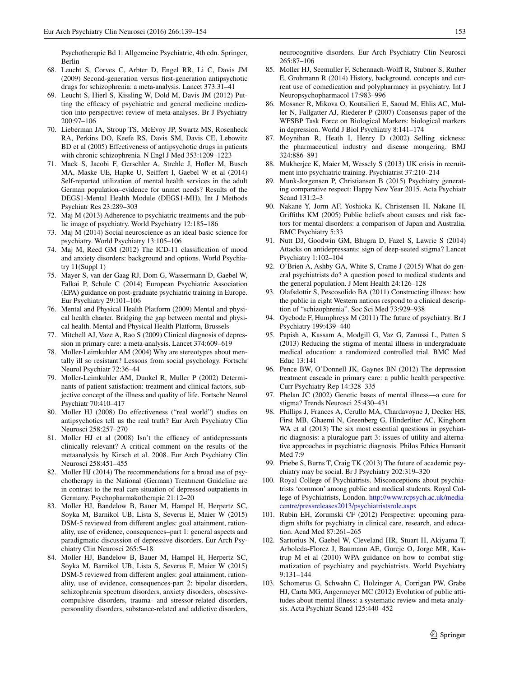Psychotherapie Bd 1: Allgemeine Psychiatrie, 4th edn. Springer, Berlin

- <span id="page-14-16"></span>68. Leucht S, Corves C, Arbter D, Engel RR, Li C, Davis JM (2009) Second-generation versus first-generation antipsychotic drugs for schizophrenia: a meta-analysis. Lancet 373:31–41
- <span id="page-14-15"></span>69. Leucht S, Hierl S, Kissling W, Dold M, Davis JM (2012) Putting the efficacy of psychiatric and general medicine medication into perspective: review of meta-analyses. Br J Psychiatry 200:97–106
- <span id="page-14-17"></span>70. Lieberman JA, Stroup TS, McEvoy JP, Swartz MS, Rosenheck RA, Perkins DO, Keefe RS, Davis SM, Davis CE, Lebowitz BD et al (2005) Effectiveness of antipsychotic drugs in patients with chronic schizophrenia. N Engl J Med 353:1209–1223
- <span id="page-14-5"></span>71. Mack S, Jacobi F, Gerschler A, Strehle J, Hofler M, Busch MA, Maske UE, Hapke U, Seiffert I, Gaebel W et al (2014) Self-reported utilization of mental health services in the adult German population–evidence for unmet needs? Results of the DEGS1-Mental Health Module (DEGS1-MH). Int J Methods Psychiatr Res 23:289–303
- <span id="page-14-21"></span>72. Maj M (2013) Adherence to psychiatric treatments and the public image of psychiatry. World Psychiatry 12:185–186
- <span id="page-14-23"></span>73. Maj M (2014) Social neuroscience as an ideal basic science for psychiatry. World Psychiatry 13:105–106
- <span id="page-14-27"></span>74. Maj M, Reed GM (2012) The ICD-11 classification of mood and anxiety disorders: background and options. World Psychiatry  $11(Suppl 1)$
- <span id="page-14-34"></span>75. Mayer S, van der Gaag RJ, Dom G, Wassermann D, Gaebel W, Falkai P, Schule C (2014) European Psychiatric Association (EPA) guidance on post-graduate psychiatric training in Europe. Eur Psychiatry 29:101–106
- <span id="page-14-33"></span>76. Mental and Physical Health Platform (2009) Mental and physical health charter. Bridging the gap between mental and physical health. Mental and Physical Health Platform, Brussels
- <span id="page-14-30"></span>77. Mitchell AJ, Vaze A, Rao S (2009) Clinical diagnosis of depression in primary care: a meta-analysis. Lancet 374:609–619
- <span id="page-14-7"></span>78. Moller-Leimkuhler AM (2004) Why are stereotypes about mentally ill so resistant? Lessons from social psychology. Fortschr Neurol Psychiatr 72:36–44
- <span id="page-14-3"></span>79. Moller-Leimkuhler AM, Dunkel R, Muller P (2002) Determinants of patient satisfaction: treatment and clinical factors, subjective concept of the illness and quality of life. Fortschr Neurol Psychiatr 70:410–417
- <span id="page-14-18"></span>80. Moller HJ (2008) Do effectiveness ("real world") studies on antipsychotics tell us the real truth? Eur Arch Psychiatry Clin Neurosci 258:257–270
- <span id="page-14-13"></span>81. Moller HJ et al (2008) Isn't the efficacy of antidepressants clinically relevant? A critical comment on the results of the metaanalysis by Kirsch et al. 2008. Eur Arch Psychiatry Clin Neurosci 258:451–455
- <span id="page-14-29"></span>82. Moller HJ (2014) The recommendations for a broad use of psychotherapy in the National (German) Treatment Guideline are in contrast to the real care situation of depressed outpatients in Germany. Psychopharmakotherapie 21:12–20
- <span id="page-14-10"></span>83. Moller HJ, Bandelow B, Bauer M, Hampel H, Herpertz SC, Soyka M, Barnikol UB, Lista S, Severus E, Maier W (2015) DSM-5 reviewed from different angles: goal attainment, rationality, use of evidence, consequences–part 1: general aspects and paradigmatic discussion of depressive disorders. Eur Arch Psychiatry Clin Neurosci 265:5–18
- <span id="page-14-11"></span>84. Moller HJ, Bandelow B, Bauer M, Hampel H, Herpertz SC, Soyka M, Barnikol UB, Lista S, Severus E, Maier W (2015) DSM-5 reviewed from different angles: goal attainment, rationality, use of evidence, consequences-part 2: bipolar disorders, schizophrenia spectrum disorders, anxiety disorders, obsessivecompulsive disorders, trauma- and stressor-related disorders, personality disorders, substance-related and addictive disorders,

neurocognitive disorders. Eur Arch Psychiatry Clin Neurosci 265:87–106

- <span id="page-14-28"></span>85. Moller HJ, Seemuller F, Schennach-Wolff R, Stubner S, Ruther E, Grohmann R (2014) History, background, concepts and current use of comedication and polypharmacy in psychiatry. Int J Neuropsychopharmacol 17:983–996
- <span id="page-14-12"></span>86. Mossner R, Mikova O, Koutsilieri E, Saoud M, Ehlis AC, Muller N, Fallgatter AJ, Riederer P (2007) Consensus paper of the WFSBP Task Force on Biological Markers: biological markers in depression. World J Biol Psychiatry 8:141–174
- <span id="page-14-19"></span>87. Moynihan R, Heath I, Henry D (2002) Selling sickness: the pharmaceutical industry and disease mongering. BMJ 324:886–891
- <span id="page-14-6"></span>88. Mukherjee K, Maier M, Wessely S (2013) UK crisis in recruitment into psychiatric training. Psychiatrist 37:210–214
- <span id="page-14-32"></span>89. Munk-Jorgensen P, Christiansen B (2015) Psychiatry generating comparative respect: Happy New Year 2015. Acta Psychiatr Scand 131:2–3
- <span id="page-14-8"></span>90. Nakane Y, Jorm AF, Yoshioka K, Christensen H, Nakane H, Griffiths KM (2005) Public beliefs about causes and risk factors for mental disorders: a comparison of Japan and Australia. BMC Psychiatry 5:33
- <span id="page-14-14"></span>91. Nutt DJ, Goodwin GM, Bhugra D, Fazel S, Lawrie S (2014) Attacks on antidepressants: sign of deep-seated stigma? Lancet Psychiatry 1:102–104
- <span id="page-14-2"></span>92. O'Brien A, Ashby GA, White S, Crame J (2015) What do general psychiatrists do? A question posed to medical students and the general population. J Ment Health 24:126–128
- <span id="page-14-9"></span>93. Olafsdottir S, Pescosolido BA (2011) Constructing illness: how the public in eight Western nations respond to a clinical description of "schizophrenia". Soc Sci Med 73:929–938
- <span id="page-14-22"></span>94. Oyebode F, Humphreys M (2011) The future of psychiatry. Br J Psychiatry 199:439–440
- <span id="page-14-35"></span>95. Papish A, Kassam A, Modgill G, Vaz G, Zanussi L, Patten S (2013) Reducing the stigma of mental illness in undergraduate medical education: a randomized controlled trial. BMC Med Educ 13:141
- <span id="page-14-31"></span>96. Pence BW, O'Donnell JK, Gaynes BN (2012) The depression treatment cascade in primary care: a public health perspective. Curr Psychiatry Rep 14:328–335
- <span id="page-14-25"></span>97. Phelan JC (2002) Genetic bases of mental illness—a cure for stigma? Trends Neurosci 25:430–431
- <span id="page-14-26"></span>98. Phillips J, Frances A, Cerullo MA, Chardavoyne J, Decker HS, First MB, Ghaemi N, Greenberg G, Hinderliter AC, Kinghorn WA et al  $(2013)$  The six most essential questions in psychiatric diagnosis: a pluralogue part 3: issues of utility and alternative approaches in psychiatric diagnosis. Philos Ethics Humanit Med 7:9
- <span id="page-14-20"></span>99. Priebe S, Burns T, Craig TK (2013) The future of academic psychiatry may be social. Br J Psychiatry 202:319–320
- <span id="page-14-4"></span>100. Royal College of Psychiatrists. Misconceptions about psychiatrists 'common' among public and medical students. Royal College of Psychiatrists, London. [http://www.rcpsych.ac.uk/media](http://www.rcpsych.ac.uk/mediacentre/pressreleases2013/psychiatristsrole.aspx)[centre/pressreleases2013/psychiatristsrole.aspx](http://www.rcpsych.ac.uk/mediacentre/pressreleases2013/psychiatristsrole.aspx)
- <span id="page-14-24"></span>101. Rubin EH, Zorumski CF (2012) Perspective: upcoming paradigm shifts for psychiatry in clinical care, research, and education. Acad Med 87:261–265
- <span id="page-14-1"></span>102. Sartorius N, Gaebel W, Cleveland HR, Stuart H, Akiyama T, Arboleda-Florez J, Baumann AE, Gureje O, Jorge MR, Kastrup M et al (2010) WPA guidance on how to combat stigmatization of psychiatry and psychiatrists. World Psychiatry 9:131–144
- <span id="page-14-0"></span>103. Schomerus G, Schwahn C, Holzinger A, Corrigan PW, Grabe HJ, Carta MG, Angermeyer MC (2012) Evolution of public attitudes about mental illness: a systematic review and meta-analysis. Acta Psychiatr Scand 125:440–452